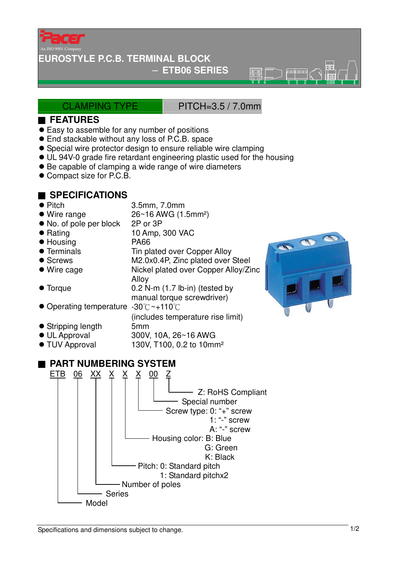

#### **EUROSTYLE P.C.B. TERMINAL BLOCK**

### − **ETB06 SERIES**

ক্ৰমে

### CLAMPING TYPE PITCH=3.5 / 7.0mm

#### ■ **FEATURES**

- Easy to assemble for any number of positions
- End stackable without any loss of P.C.B. space
- Special wire protector design to ensure reliable wire clamping
- UL 94V-0 grade fire retardant engineering plastic used for the housing
- Be capable of clamping a wide range of wire diameters
- Compact size for P.C.B.

## ■ **SPECIFICATIONS**

● Pitch 3.5mm, 7.0mm ● Wire range 26~16 AWG (1.5mm<sup>2</sup>) • No. of pole per block 2P or 3P ● Rating 10 Amp, 300 VAC ● Housing PA66 • Terminals Tin plated over Copper Alloy ● Screws M2.0x0.4P, Zinc plated over Steel ● Wire cage Nickel plated over Copper Alloy/Zinc Alloy ● Torque 0.2 N-m (1.7 lb-in) (tested by manual torque screwdriver) Operating temperature -30℃~+110℃ (includes temperature rise limit) Stripping length 5mm UL Approval 300V, 10A, 26~16 AWG ● TUV Approval 130V, T100, 0.2 to 10mm<sup>2</sup> ■ **PART NUMBERING SYSTEM** <u>ETB 06 XX X X X 00 Z</u> Z: RoHS Compliant Special number Screw type: 0: "+" screw 1: "-" screw A: "-" screw Housing color: B: Blue G: Green K: Black Pitch: 0: Standard pitch 1: Standard pitchx2 Number of poles Series



Model